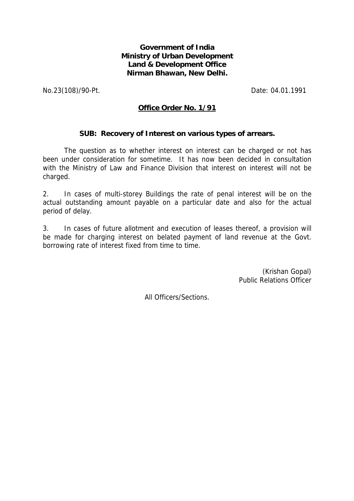## **Government of India Ministry of Urban Development Land & Development Office Nirman Bhawan, New Delhi.**

No.23(108)/90-Pt. Date: 04.01.1991

## **Office Order No. 1/91**

## **SUB: Recovery of Interest on various types of arrears.**

The question as to whether interest on interest can be charged or not has been under consideration for sometime. It has now been decided in consultation with the Ministry of Law and Finance Division that interest on interest will not be charged.

2. In cases of multi-storey Buildings the rate of penal interest will be on the actual outstanding amount payable on a particular date and also for the actual period of delay.

3. In cases of future allotment and execution of leases thereof, a provision will be made for charging interest on belated payment of land revenue at the Govt. borrowing rate of interest fixed from time to time.

> (Krishan Gopal) Public Relations Officer

All Officers/Sections.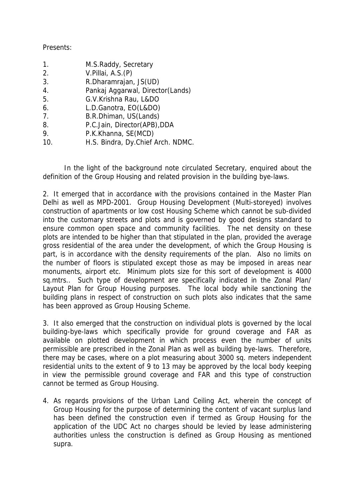## Presents:

| 1.  | M.S.Raddy, Secretary              |
|-----|-----------------------------------|
| 2.  | V.Pillai, A.S.(P)                 |
| 3.  | R.Dharamrajan, JS(UD)             |
| 4.  | Pankaj Aggarwal, Director(Lands)  |
| 5.  | G.V.Krishna Rau, L&DO             |
| 6.  | L.D.Ganotra, EO(L&DO)             |
| 7.  | B.R.Dhiman, US(Lands)             |
| 8.  | P.C.Jain, Director(APB), DDA      |
| 9.  | P.K.Khanna, SE(MCD)               |
| 10. | H.S. Bindra, Dy.Chief Arch. NDMC. |

In the light of the background note circulated Secretary, enquired about the definition of the Group Housing and related provision in the building bye-laws.

2. It emerged that in accordance with the provisions contained in the Master Plan Delhi as well as MPD-2001. Group Housing Development (Multi-storeyed) involves construction of apartments or low cost Housing Scheme which cannot be sub-divided into the customary streets and plots and is governed by good designs standard to ensure common open space and community facilities. The net density on these plots are intended to be higher than that stipulated in the plan, provided the average gross residential of the area under the development, of which the Group Housing is part, is in accordance with the density requirements of the plan. Also no limits on the number of floors is stipulated except those as may be imposed in areas near monuments, airport etc. Minimum plots size for this sort of development is 4000 sq.mtrs.. Such type of development are specifically indicated in the Zonal Plan/ Layout Plan for Group Housing purposes. The local body while sanctioning the building plans in respect of construction on such plots also indicates that the same has been approved as Group Housing Scheme.

3. It also emerged that the construction on individual plots is governed by the local building-bye-laws which specifically provide for ground coverage and FAR as available on plotted development in which process even the number of units permissible are prescribed in the Zonal Plan as well as building bye-laws. Therefore, there may be cases, where on a plot measuring about 3000 sq. meters independent residential units to the extent of 9 to 13 may be approved by the local body keeping in view the permissible ground coverage and FAR and this type of construction cannot be termed as Group Housing.

4. As regards provisions of the Urban Land Ceiling Act, wherein the concept of Group Housing for the purpose of determining the content of vacant surplus land has been defined the construction even if termed as Group Housing for the application of the UDC Act no charges should be levied by lease administering authorities unless the construction is defined as Group Housing as mentioned supra.